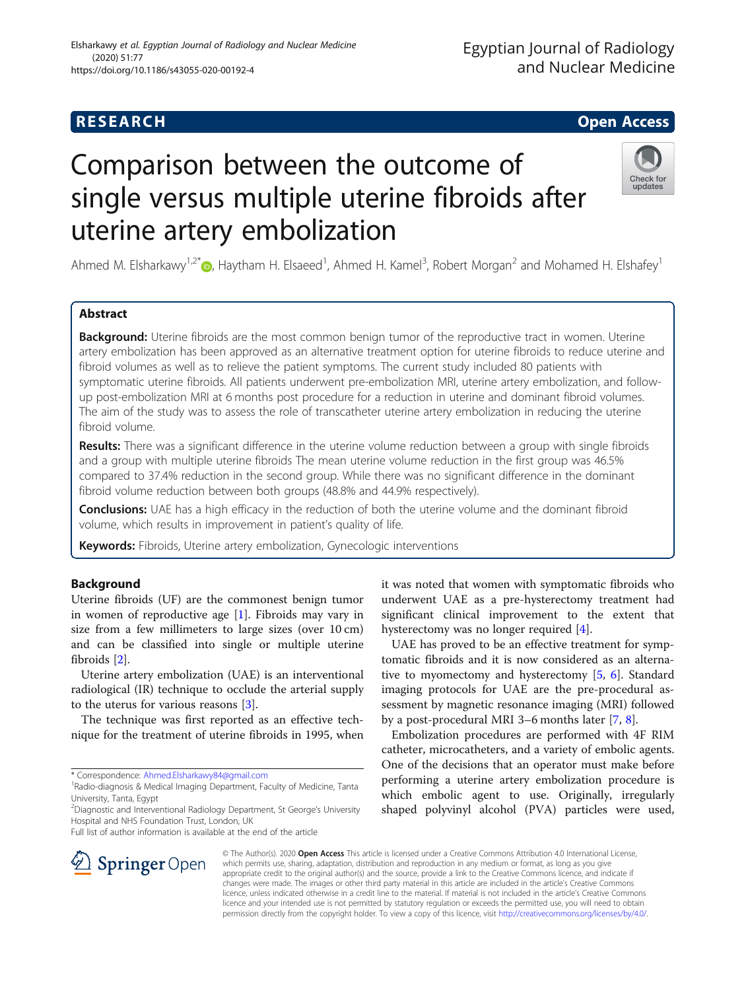# **RESEARCH CHE Open Access**

## Egyptian Journal of Radiology and Nuclear Medicine

# Check for updates

# Comparison between the outcome of single versus multiple uterine fibroids after uterine artery embolization

Ahmed M. Elsharkawy<sup>1,2\*</sup> <sub>(b</sub>, Haytham H. Elsaeed<sup>1</sup>, Ahmed H. Kamel<sup>3</sup>, Robert Morgan<sup>2</sup> and Mohamed H. Elshafey<sup>1</sup>

### Abstract

Background: Uterine fibroids are the most common benign tumor of the reproductive tract in women. Uterine artery embolization has been approved as an alternative treatment option for uterine fibroids to reduce uterine and fibroid volumes as well as to relieve the patient symptoms. The current study included 80 patients with symptomatic uterine fibroids. All patients underwent pre-embolization MRI, uterine artery embolization, and followup post-embolization MRI at 6 months post procedure for a reduction in uterine and dominant fibroid volumes. The aim of the study was to assess the role of transcatheter uterine artery embolization in reducing the uterine fibroid volume.

Results: There was a significant difference in the uterine volume reduction between a group with single fibroids and a group with multiple uterine fibroids The mean uterine volume reduction in the first group was 46.5% compared to 37.4% reduction in the second group. While there was no significant difference in the dominant fibroid volume reduction between both groups (48.8% and 44.9% respectively).

**Conclusions:** UAE has a high efficacy in the reduction of both the uterine volume and the dominant fibroid volume, which results in improvement in patient's quality of life.

Keywords: Fibroids, Uterine artery embolization, Gynecologic interventions

#### Background

Uterine fibroids (UF) are the commonest benign tumor in women of reproductive age [[1\]](#page-6-0). Fibroids may vary in size from a few millimeters to large sizes (over 10 cm) and can be classified into single or multiple uterine fibroids [[2\]](#page-6-0).

Uterine artery embolization (UAE) is an interventional radiological (IR) technique to occlude the arterial supply to the uterus for various reasons [[3\]](#page-6-0).

The technique was first reported as an effective technique for the treatment of uterine fibroids in 1995, when

\* Correspondence: [Ahmed.Elsharkawy84@gmail.com](mailto:Ahmed.Elsharkawy84@gmail.com) <sup>1</sup>



UAE has proved to be an effective treatment for symptomatic fibroids and it is now considered as an alternative to myomectomy and hysterectomy  $[5, 6]$  $[5, 6]$  $[5, 6]$  $[5, 6]$ . Standard imaging protocols for UAE are the pre-procedural assessment by magnetic resonance imaging (MRI) followed by a post-procedural MRI 3–6 months later [[7](#page-6-0), [8](#page-6-0)].

Embolization procedures are performed with 4F RIM catheter, microcatheters, and a variety of embolic agents. One of the decisions that an operator must make before performing a uterine artery embolization procedure is which embolic agent to use. Originally, irregularly shaped polyvinyl alcohol (PVA) particles were used,



© The Author(s). 2020 Open Access This article is licensed under a Creative Commons Attribution 4.0 International License, which permits use, sharing, adaptation, distribution and reproduction in any medium or format, as long as you give appropriate credit to the original author(s) and the source, provide a link to the Creative Commons licence, and indicate if changes were made. The images or other third party material in this article are included in the article's Creative Commons licence, unless indicated otherwise in a credit line to the material. If material is not included in the article's Creative Commons licence and your intended use is not permitted by statutory regulation or exceeds the permitted use, you will need to obtain permission directly from the copyright holder. To view a copy of this licence, visit <http://creativecommons.org/licenses/by/4.0/>.

<sup>&</sup>lt;sup>1</sup>Radio-diagnosis & Medical Imaging Department, Faculty of Medicine, Tanta University, Tanta, Egypt

<sup>&</sup>lt;sup>2</sup>Diagnostic and Interventional Radiology Department, St George's University Hospital and NHS Foundation Trust, London, UK

Full list of author information is available at the end of the article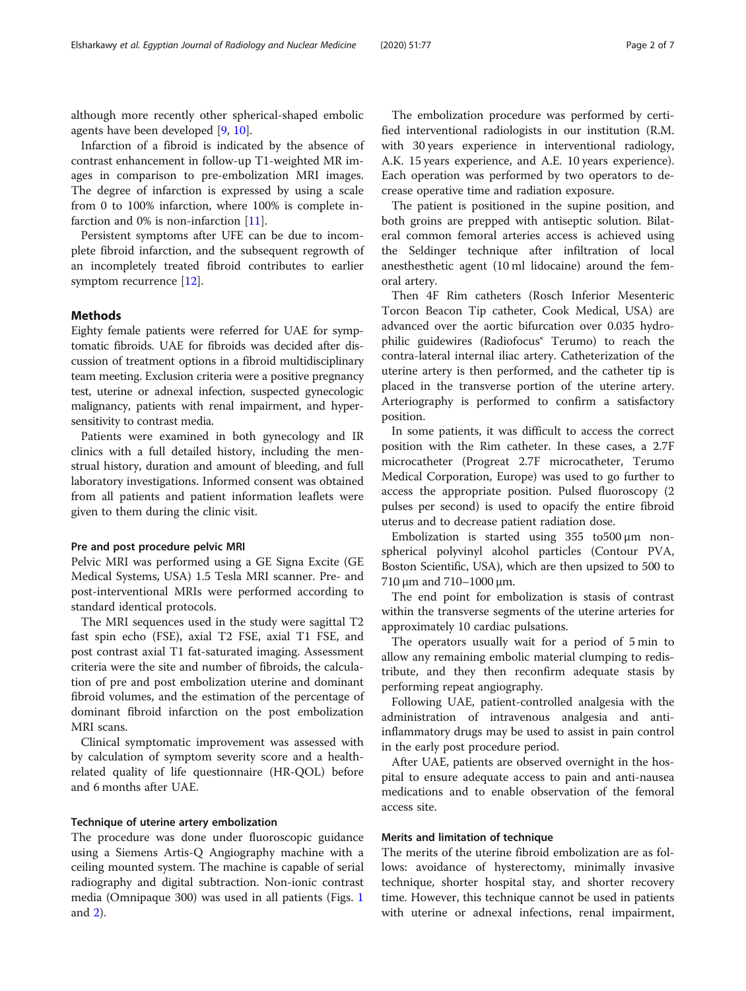although more recently other spherical-shaped embolic agents have been developed [\[9](#page-6-0), [10](#page-6-0)].

Infarction of a fibroid is indicated by the absence of contrast enhancement in follow-up T1-weighted MR images in comparison to pre-embolization MRI images. The degree of infarction is expressed by using a scale from 0 to 100% infarction, where 100% is complete infarction and 0% is non-infarction [\[11](#page-6-0)].

Persistent symptoms after UFE can be due to incomplete fibroid infarction, and the subsequent regrowth of an incompletely treated fibroid contributes to earlier symptom recurrence [[12](#page-6-0)].

#### Methods

Eighty female patients were referred for UAE for symptomatic fibroids. UAE for fibroids was decided after discussion of treatment options in a fibroid multidisciplinary team meeting. Exclusion criteria were a positive pregnancy test, uterine or adnexal infection, suspected gynecologic malignancy, patients with renal impairment, and hypersensitivity to contrast media.

Patients were examined in both gynecology and IR clinics with a full detailed history, including the menstrual history, duration and amount of bleeding, and full laboratory investigations. Informed consent was obtained from all patients and patient information leaflets were given to them during the clinic visit.

#### Pre and post procedure pelvic MRI

Pelvic MRI was performed using a GE Signa Excite (GE Medical Systems, USA) 1.5 Tesla MRI scanner. Pre- and post-interventional MRIs were performed according to standard identical protocols.

The MRI sequences used in the study were sagittal T2 fast spin echo (FSE), axial T2 FSE, axial T1 FSE, and post contrast axial T1 fat-saturated imaging. Assessment criteria were the site and number of fibroids, the calculation of pre and post embolization uterine and dominant fibroid volumes, and the estimation of the percentage of dominant fibroid infarction on the post embolization MRI scans.

Clinical symptomatic improvement was assessed with by calculation of symptom severity score and a healthrelated quality of life questionnaire (HR-QOL) before and 6 months after UAE.

#### Technique of uterine artery embolization

The procedure was done under fluoroscopic guidance using a Siemens Artis-Q Angiography machine with a ceiling mounted system. The machine is capable of serial radiography and digital subtraction. Non-ionic contrast media (Omnipaque 300) was used in all patients (Figs. [1](#page-2-0) and [2\)](#page-4-0).

The embolization procedure was performed by certified interventional radiologists in our institution (R.M. with 30 years experience in interventional radiology, A.K. 15 years experience, and A.E. 10 years experience). Each operation was performed by two operators to decrease operative time and radiation exposure.

The patient is positioned in the supine position, and both groins are prepped with antiseptic solution. Bilateral common femoral arteries access is achieved using the Seldinger technique after infiltration of local anesthesthetic agent (10 ml lidocaine) around the femoral artery.

Then 4F Rim catheters (Rosch Inferior Mesenteric Torcon Beacon Tip catheter, Cook Medical, USA) are advanced over the aortic bifurcation over 0.035 hydrophilic guidewires (Radiofocus® Terumo) to reach the contra-lateral internal iliac artery. Catheterization of the uterine artery is then performed, and the catheter tip is placed in the transverse portion of the uterine artery. Arteriography is performed to confirm a satisfactory position.

In some patients, it was difficult to access the correct position with the Rim catheter. In these cases, a 2.7F microcatheter (Progreat 2.7F microcatheter, Terumo Medical Corporation, Europe) was used to go further to access the appropriate position. Pulsed fluoroscopy (2 pulses per second) is used to opacify the entire fibroid uterus and to decrease patient radiation dose.

Embolization is started using 355 to500 μm nonspherical polyvinyl alcohol particles (Contour PVA, Boston Scientific, USA), which are then upsized to 500 to 710 μm and 710–1000 μm.

The end point for embolization is stasis of contrast within the transverse segments of the uterine arteries for approximately 10 cardiac pulsations.

The operators usually wait for a period of 5 min to allow any remaining embolic material clumping to redistribute, and they then reconfirm adequate stasis by performing repeat angiography.

Following UAE, patient-controlled analgesia with the administration of intravenous analgesia and antiinflammatory drugs may be used to assist in pain control in the early post procedure period.

After UAE, patients are observed overnight in the hospital to ensure adequate access to pain and anti-nausea medications and to enable observation of the femoral access site.

#### Merits and limitation of technique

The merits of the uterine fibroid embolization are as follows: avoidance of hysterectomy, minimally invasive technique, shorter hospital stay, and shorter recovery time. However, this technique cannot be used in patients with uterine or adnexal infections, renal impairment,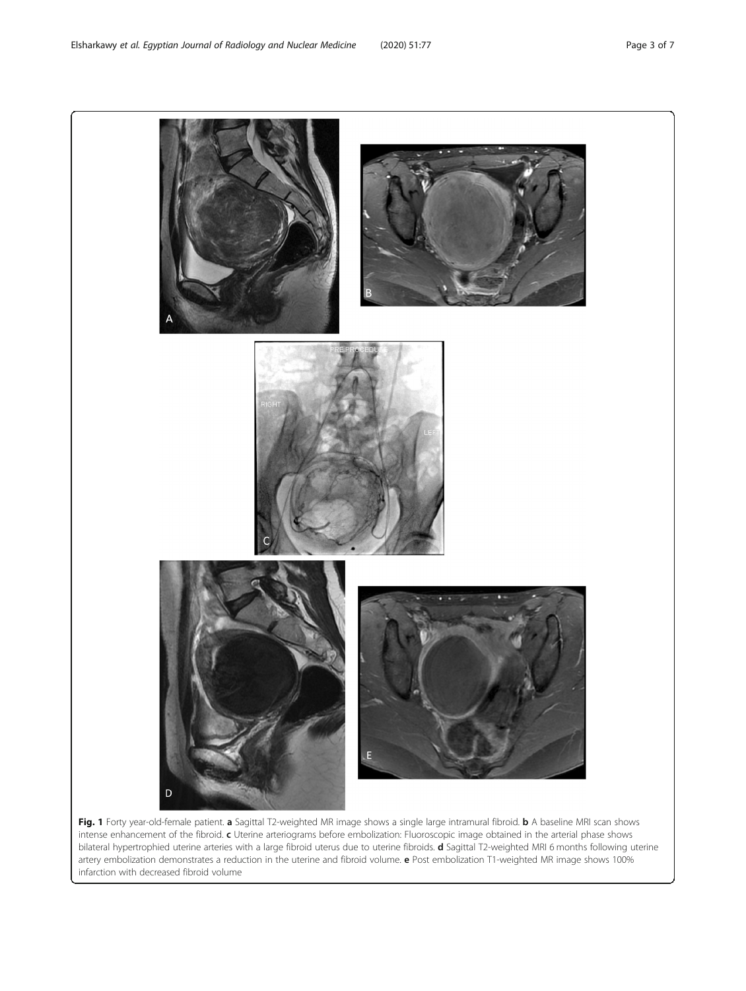<span id="page-2-0"></span>

Fig. 1 Forty year-old-female patient. a Sagittal T2-weighted MR image shows a single large intramural fibroid. b A baseline MRI scan shows intense enhancement of the fibroid. c Uterine arteriograms before embolization: Fluoroscopic image obtained in the arterial phase shows bilateral hypertrophied uterine arteries with a large fibroid uterus due to uterine fibroids. d Sagittal T2-weighted MRI 6 months following uterine artery embolization demonstrates a reduction in the uterine and fibroid volume. e Post embolization T1-weighted MR image shows 100% infarction with decreased fibroid volume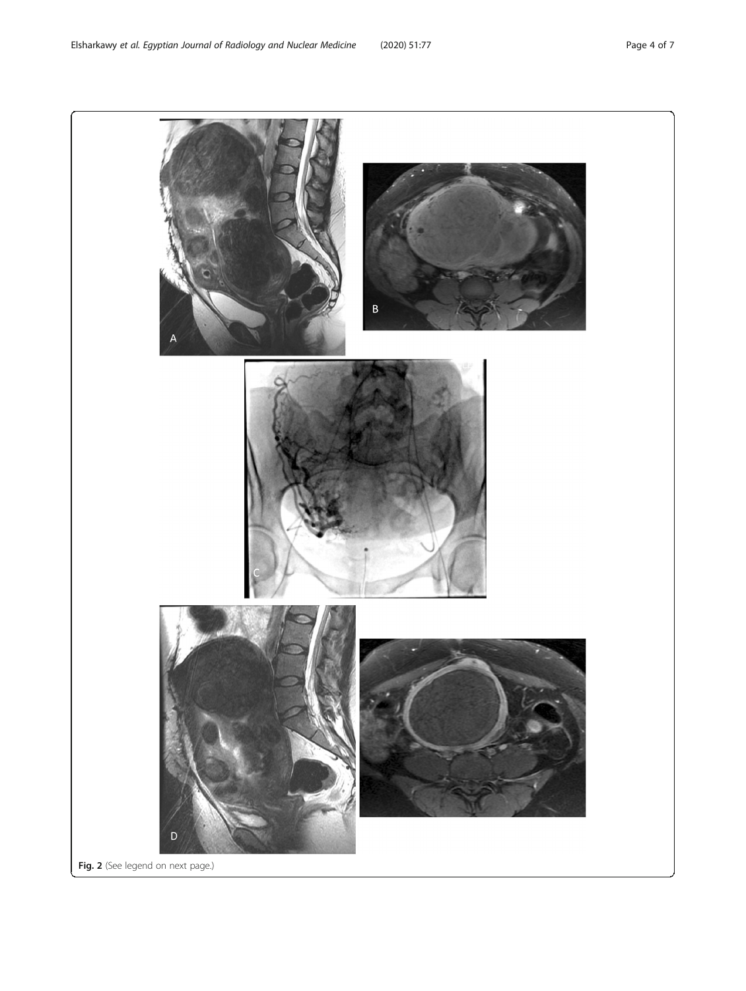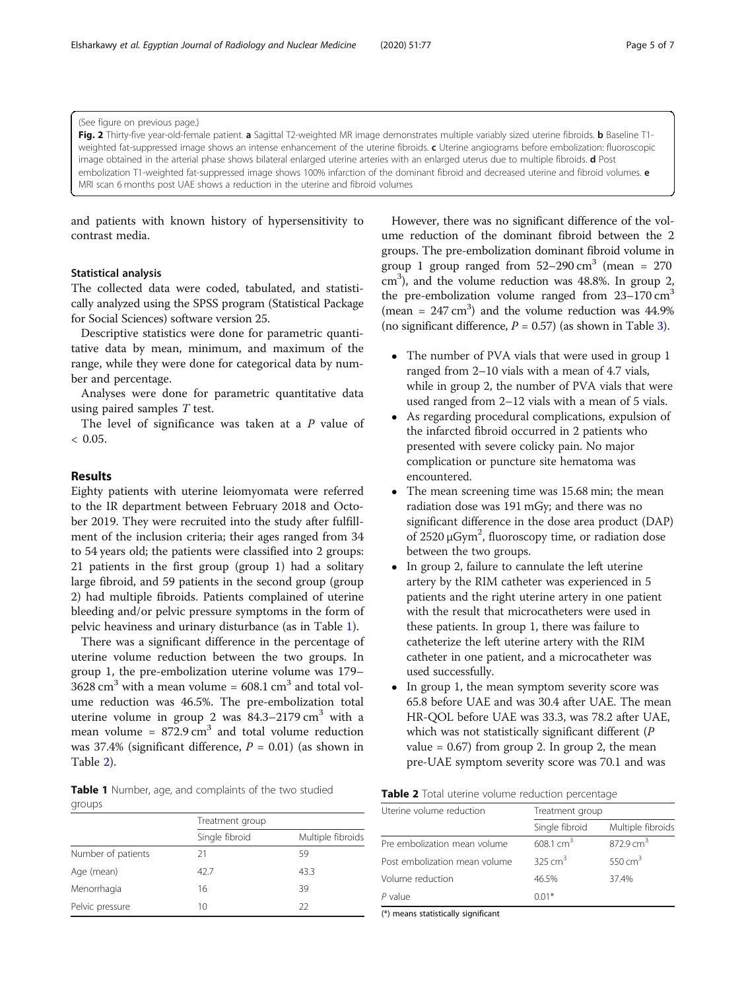<span id="page-4-0"></span>(See figure on previous page.)

Fig. 2 Thirty-five year-old-female patient. a Sagittal T2-weighted MR image demonstrates multiple variably sized uterine fibroids. b Baseline T1weighted fat-suppressed image shows an intense enhancement of the uterine fibroids. c Uterine angiograms before embolization: fluoroscopic image obtained in the arterial phase shows bilateral enlarged uterine arteries with an enlarged uterus due to multiple fibroids. d Post embolization T1-weighted fat-suppressed image shows 100% infarction of the dominant fibroid and decreased uterine and fibroid volumes. e MRI scan 6 months post UAE shows a reduction in the uterine and fibroid volumes

and patients with known history of hypersensitivity to contrast media.

#### Statistical analysis

The collected data were coded, tabulated, and statistically analyzed using the SPSS program (Statistical Package for Social Sciences) software version 25.

Descriptive statistics were done for parametric quantitative data by mean, minimum, and maximum of the range, while they were done for categorical data by number and percentage.

Analyses were done for parametric quantitative data using paired samples T test.

The level of significance was taken at a  $P$  value of  $< 0.05.$ 

#### Results

Eighty patients with uterine leiomyomata were referred to the IR department between February 2018 and October 2019. They were recruited into the study after fulfillment of the inclusion criteria; their ages ranged from 34 to 54 years old; the patients were classified into 2 groups: 21 patients in the first group (group 1) had a solitary large fibroid, and 59 patients in the second group (group 2) had multiple fibroids. Patients complained of uterine bleeding and/or pelvic pressure symptoms in the form of pelvic heaviness and urinary disturbance (as in Table 1).

There was a significant difference in the percentage of uterine volume reduction between the two groups. In group 1, the pre-embolization uterine volume was 179–  $3628 \text{ cm}^3$  with a mean volume =  $608.1 \text{ cm}^3$  and total volume reduction was 46.5%. The pre-embolization total uterine volume in group 2 was  $84.3-2179 \text{ cm}^3$  with a mean volume =  $872.9 \text{ cm}^3$  and total volume reduction was 37.4% (significant difference,  $P = 0.01$ ) (as shown in Table 2).

Table 1 Number, age, and complaints of the two studied groups

|                    | Treatment group |                   |  |
|--------------------|-----------------|-------------------|--|
|                    | Single fibroid  | Multiple fibroids |  |
| Number of patients | 21              | 59                |  |
| Age (mean)         | 42.7            | 43.3              |  |
| Menorrhagia        | 16              | 39                |  |
| Pelvic pressure    | 10              | 22                |  |

However, there was no significant difference of the volume reduction of the dominant fibroid between the 2 groups. The pre-embolization dominant fibroid volume in group 1 group ranged from  $52-290 \text{ cm}^3$  (mean = 270) cm<sup>3</sup>), and the volume reduction was 48.8%. In group 2, the pre-embolization volume ranged from  $23-170 \text{ cm}^3$ (mean =  $247 \text{ cm}^3$ ) and the volume reduction was  $44.9\%$ (no significant difference,  $P = 0.57$ ) (as shown in Table [3\)](#page-5-0).

- The number of PVA vials that were used in group 1 ranged from 2–10 vials with a mean of 4.7 vials, while in group 2, the number of PVA vials that were used ranged from 2–12 vials with a mean of 5 vials.
- As regarding procedural complications, expulsion of the infarcted fibroid occurred in 2 patients who presented with severe colicky pain. No major complication or puncture site hematoma was encountered.
- The mean screening time was 15.68 min; the mean radiation dose was 191 mGy; and there was no significant difference in the dose area product (DAP) of 2520 μGym<sup>2</sup>, fluoroscopy time, or radiation dose between the two groups.
- In group 2, failure to cannulate the left uterine artery by the RIM catheter was experienced in 5 patients and the right uterine artery in one patient with the result that microcatheters were used in these patients. In group 1, there was failure to catheterize the left uterine artery with the RIM catheter in one patient, and a microcatheter was used successfully.
- In group 1, the mean symptom severity score was 65.8 before UAE and was 30.4 after UAE. The mean HR-QOL before UAE was 33.3, was 78.2 after UAE, which was not statistically significant different (P value =  $0.67$ ) from group 2. In group 2, the mean pre-UAE symptom severity score was 70.1 and was

| Table 2 Total uterine volume reduction percentage |  |
|---------------------------------------------------|--|
|---------------------------------------------------|--|

| Uterine volume reduction      | Treatment group      |                      |  |
|-------------------------------|----------------------|----------------------|--|
|                               | Single fibroid       | Multiple fibroids    |  |
| Pre embolization mean volume  | $608.1 \text{ cm}^3$ | $872.9 \text{ cm}^3$ |  |
| Post embolization mean volume | $325 \text{ cm}^3$   | 550 cm <sup>3</sup>  |  |
| Volume reduction              | 46.5%                | 37.4%                |  |
| $P$ value                     | $0.01*$              |                      |  |

(\*) means statistically significant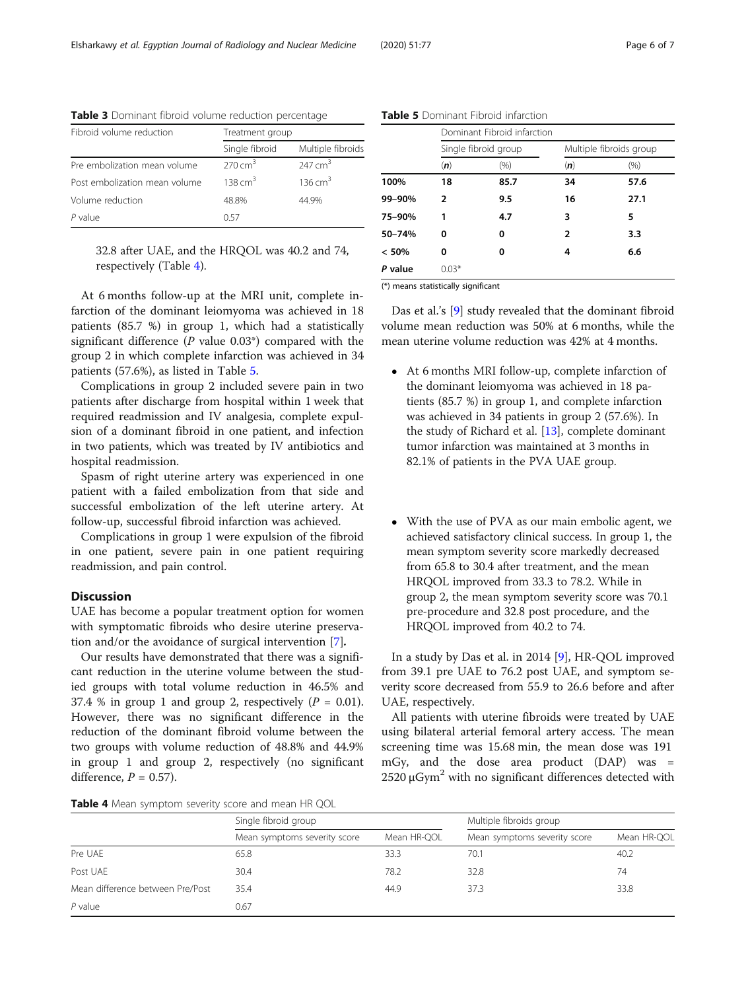| Fibroid volume reduction      | Treatment group |                    |
|-------------------------------|-----------------|--------------------|
|                               | Single fibroid  | Multiple fibroids  |
| Pre embolization mean volume  | 270 $cm3$       | 247 $cm3$          |
| Post embolization mean volume | 138 $cm3$       | $136 \text{ cm}^3$ |
| Volume reduction              | 48.8%           | 44.9%              |
| $P$ value                     | 057             |                    |

<span id="page-5-0"></span>Table 3 Dominant fibroid volume reduction percentage

32.8 after UAE, and the HRQOL was 40.2 and 74, respectively (Table 4).

At 6 months follow-up at the MRI unit, complete infarction of the dominant leiomyoma was achieved in 18 patients (85.7 %) in group 1, which had a statistically significant difference ( $P$  value 0.03\*) compared with the group 2 in which complete infarction was achieved in 34 patients (57.6%), as listed in Table 5.

Complications in group 2 included severe pain in two patients after discharge from hospital within 1 week that required readmission and IV analgesia, complete expulsion of a dominant fibroid in one patient, and infection in two patients, which was treated by IV antibiotics and hospital readmission.

Spasm of right uterine artery was experienced in one patient with a failed embolization from that side and successful embolization of the left uterine artery. At follow-up, successful fibroid infarction was achieved.

Complications in group 1 were expulsion of the fibroid in one patient, severe pain in one patient requiring readmission, and pain control.

#### Discussion

UAE has become a popular treatment option for women with symptomatic fibroids who desire uterine preservation and/or the avoidance of surgical intervention [[7](#page-6-0)].

Our results have demonstrated that there was a significant reduction in the uterine volume between the studied groups with total volume reduction in 46.5% and 37.4 % in group 1 and group 2, respectively  $(P = 0.01)$ . However, there was no significant difference in the reduction of the dominant fibroid volume between the two groups with volume reduction of 48.8% and 44.9% in group 1 and group 2, respectively (no significant difference,  $P = 0.57$ ).

Table 5 Dominant Fibroid infarction

|         | Dominant Fibroid infarction |      |                         |      |
|---------|-----------------------------|------|-------------------------|------|
|         | Single fibroid group        |      | Multiple fibroids group |      |
|         | (n)                         | (% ) | (n)                     | (% ) |
| 100%    | 18                          | 85.7 | 34                      | 57.6 |
| 99-90%  | 2                           | 9.5  | 16                      | 27.1 |
| 75-90%  | 1                           | 4.7  | 3                       | 5    |
| 50-74%  | 0                           | 0    | 2                       | 3.3  |
| < 50%   | 0                           | 0    | 4                       | 6.6  |
| P value | $0.03*$                     |      |                         |      |

(\*) means statistically significant

Das et al.'s [\[9](#page-6-0)] study revealed that the dominant fibroid volume mean reduction was 50% at 6 months, while the mean uterine volume reduction was 42% at 4 months.

- At 6 months MRI follow-up, complete infarction of the dominant leiomyoma was achieved in 18 patients (85.7 %) in group 1, and complete infarction was achieved in 34 patients in group 2 (57.6%). In the study of Richard et al. [\[13\]](#page-6-0), complete dominant tumor infarction was maintained at 3 months in 82.1% of patients in the PVA UAE group.
- With the use of PVA as our main embolic agent, we achieved satisfactory clinical success. In group 1, the mean symptom severity score markedly decreased from 65.8 to 30.4 after treatment, and the mean HRQOL improved from 33.3 to 78.2. While in group 2, the mean symptom severity score was 70.1 pre-procedure and 32.8 post procedure, and the HRQOL improved from 40.2 to 74.

In a study by Das et al. in 2014 [[9\]](#page-6-0), HR-QOL improved from 39.1 pre UAE to 76.2 post UAE, and symptom severity score decreased from 55.9 to 26.6 before and after UAE, respectively.

All patients with uterine fibroids were treated by UAE using bilateral arterial femoral artery access. The mean screening time was 15.68 min, the mean dose was 191 mGy, and the dose area product (DAP) was =  $2520 \mu Gym<sup>2</sup>$  with no significant differences detected with

Table 4 Mean symptom severity score and mean HR QQL

|                                  | Single fibroid group         |             | Multiple fibroids group      |             |
|----------------------------------|------------------------------|-------------|------------------------------|-------------|
|                                  | Mean symptoms severity score | Mean HR-QOL | Mean symptoms severity score | Mean HR-QOL |
| Pre UAE                          | 65.8                         | 33.3        | 70.1                         | 40.2        |
| Post UAE                         | 30.4                         | 78.2        | 32.8                         | 74          |
| Mean difference between Pre/Post | 35.4                         | 44.9        | 37.3                         | 33.8        |
| $P$ value                        | 0.67                         |             |                              |             |